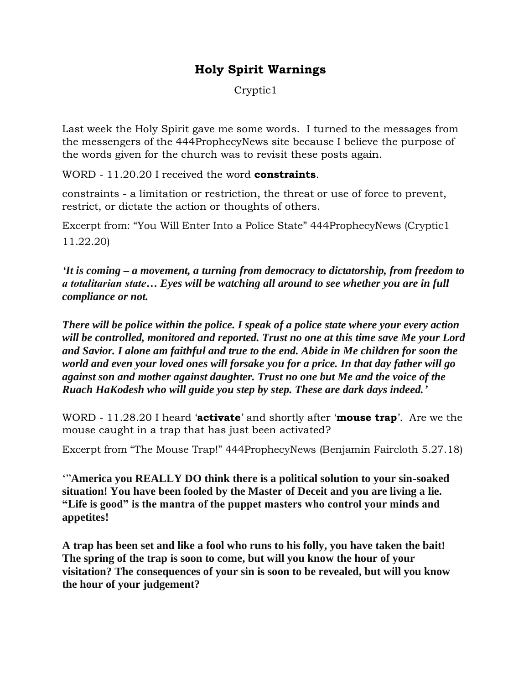## **Holy Spirit Warnings**

Cryptic1

Last week the Holy Spirit gave me some words. I turned to the messages from the messengers of the 444ProphecyNews site because I believe the purpose of the words given for the church was to revisit these posts again.

WORD - 11.20.20 I received the word **constraints**.

constraints - a limitation or restriction, the threat or use of force to prevent, restrict, or dictate the action or thoughts of others.

Excerpt from: "You Will Enter Into a Police State" 444ProphecyNews (Cryptic1 11.22.20)

*'It is coming – a movement, a turning from democracy to dictatorship, from freedom to a totalitarian state… Eyes will be watching all around to see whether you are in full compliance or not.*

*There will be police within the police. I speak of a police state where your every action will be controlled, monitored and reported. Trust no one at this time save Me your Lord and Savior. I alone am faithful and true to the end. Abide in Me children for soon the world and even your loved ones will forsake you for a price. In that day father will go against son and mother against daughter. Trust no one but Me and the voice of the Ruach HaKodesh who will guide you step by step. These are dark days indeed.'*

WORD - 11.28.20 I heard '**activate**' and shortly after '**mouse trap**'. Are we the mouse caught in a trap that has just been activated?

Excerpt from "The Mouse Trap!" 444ProphecyNews (Benjamin Faircloth 5.27.18)

'"**America you REALLY DO think there is a political solution to your sin-soaked situation! You have been fooled by the Master of Deceit and you are living a lie. "Life is good" is the mantra of the puppet masters who control your minds and appetites!**

**A trap has been set and like a fool who runs to his folly, you have taken the bait! The spring of the trap is soon to come, but will you know the hour of your visitation? The consequences of your sin is soon to be revealed, but will you know the hour of your judgement?**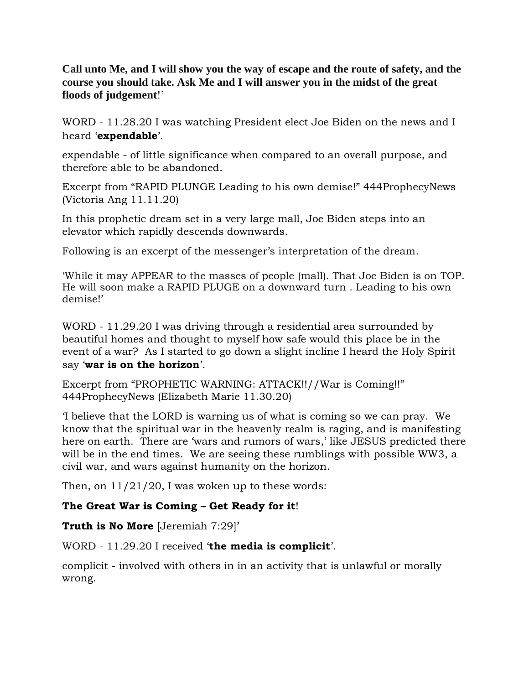**Call unto Me, and I will show you the way of escape and the route of safety, and the course you should take. Ask Me and I will answer you in the midst of the great floods of judgement**!'

WORD - 11.28.20 I was watching President elect Joe Biden on the news and I heard '**expendable**'.

expendable - of little significance when compared to an overall purpose, and therefore able to be abandoned.

Excerpt from "RAPID PLUNGE Leading to his own demise!" 444ProphecyNews (Victoria Ang 11.11.20)

In this prophetic dream set in a very large mall, Joe Biden steps into an elevator which rapidly descends downwards.

Following is an excerpt of the messenger's interpretation of the dream.

'While it may APPEAR to the masses of people (mall). That Joe Biden is on TOP. He will soon make a RAPID PLUGE on a downward turn . Leading to his own demise!'

WORD - 11.29.20 I was driving through a residential area surrounded by beautiful homes and thought to myself how safe would this place be in the event of a war? As I started to go down a slight incline I heard the Holy Spirit say '**war is on the horizon**'.

Excerpt from "PROPHETIC WARNING: ATTACK!!//War is Coming!!" 444ProphecyNews (Elizabeth Marie 11.30.20)

'I believe that the LORD is warning us of what is coming so we can pray. We know that the spiritual war in the heavenly realm is raging, and is manifesting here on earth. There are 'wars and rumors of wars,' like JESUS predicted there will be in the end times. We are seeing these rumblings with possible WW3, a civil war, and wars against humanity on the horizon.

Then, on  $11/21/20$ , I was woken up to these words:

## **The Great War is Coming – Get Ready for it**!

**Truth is No More** [Jeremiah 7:29]'

WORD - 11.29.20 I received '**the media is complicit**'.

complicit - involved with others in in an activity that is unlawful or morally wrong.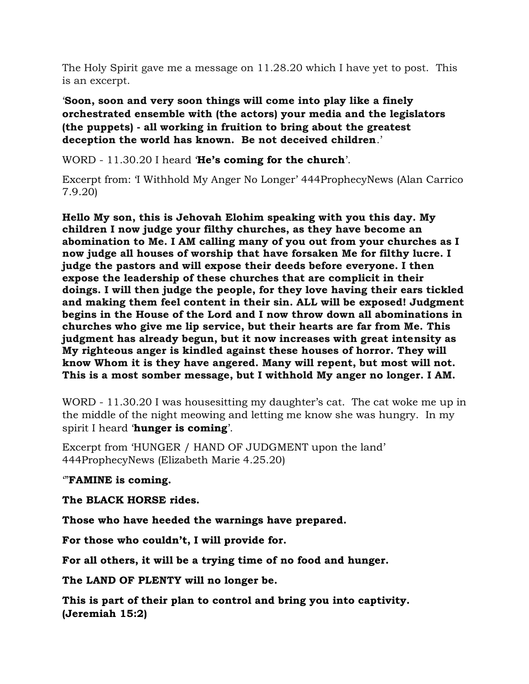The Holy Spirit gave me a message on 11.28.20 which I have yet to post. This is an excerpt.

'**Soon, soon and very soon things will come into play like a finely orchestrated ensemble with (the actors) your media and the legislators (the puppets) - all working in fruition to bring about the greatest deception the world has known. Be not deceived children**.'

WORD - 11.30.20 I heard '**He's coming for the church**'.

Excerpt from: 'I Withhold My Anger No Longer' 444ProphecyNews (Alan Carrico 7.9.20)

**Hello My son, this is Jehovah Elohim speaking with you this day. My children I now judge your filthy churches, as they have become an abomination to Me. I AM calling many of you out from your churches as I now judge all houses of worship that have forsaken Me for filthy lucre. I judge the pastors and will expose their deeds before everyone. I then expose the leadership of these churches that are complicit in their doings. I will then judge the people, for they love having their ears tickled and making them feel content in their sin. ALL will be exposed! Judgment begins in the House of the Lord and I now throw down all abominations in churches who give me lip service, but their hearts are far from Me. This judgment has already begun, but it now increases with great intensity as My righteous anger is kindled against these houses of horror. They will know Whom it is they have angered. Many will repent, but most will not. This is a most somber message, but I withhold My anger no longer. I AM.**

WORD - 11.30.20 I was housesitting my daughter's cat. The cat woke me up in the middle of the night meowing and letting me know she was hungry. In my spirit I heard '**hunger is coming**'.

Excerpt from 'HUNGER / HAND OF JUDGMENT upon the land' 444ProphecyNews (Elizabeth Marie 4.25.20)

'"**FAMINE is coming.**

**The BLACK HORSE rides.**

**Those who have heeded the warnings have prepared.**

**For those who couldn't, I will provide for.**

**For all others, it will be a trying time of no food and hunger.**

**The LAND OF PLENTY will no longer be.**

**This is part of their plan to control and bring you into captivity. (Jeremiah 15:2)**